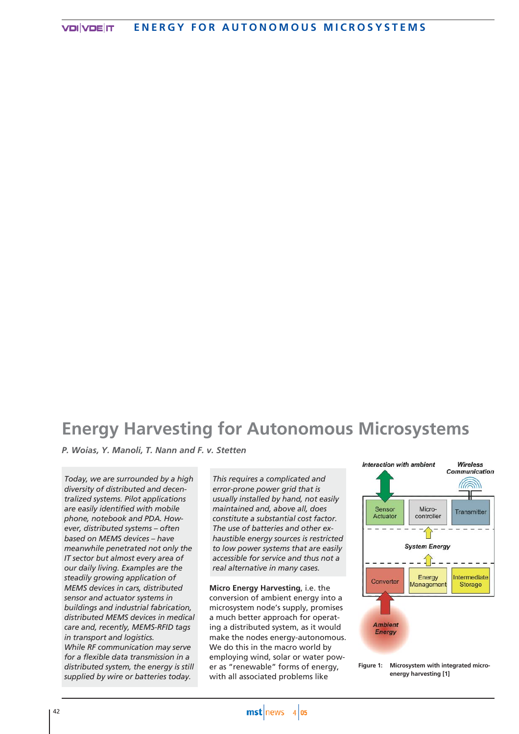# **Energy Harvesting for Autonomous Microsystems**

*P. Woias, Y. Manoli, T. Nann and F. v. Stetten*

*Today, we are surrounded by a high diversity of distributed and decentralized systems. Pilot applications are easily identified with mobile phone, notebook and PDA. However, distributed systems – often based on MEMS devices – have meanwhile penetrated not only the IT sector but almost every area of our daily living. Examples are the steadily growing application of MEMS devices in cars, distributed sensor and actuator systems in buildings and industrial fabrication, distributed MEMS devices in medical care and, recently, MEMS-RFID tags in transport and logistics. While RF communication may serve for a flexible data transmission in a distributed system, the energy is still supplied by wire or batteries today.*

*This requires a complicated and error-prone power grid that is usually installed by hand, not easily maintained and, above all, does constitute a substantial cost factor. The use of batteries and other exhaustible energy sources is restricted to low power systems that are easily accessible for service and thus not a real alternative in many cases.*

**Micro Energy Harvesting**, i.e. the conversion of ambient energy into a microsystem node's supply, promises a much better approach for operating a distributed system, as it would make the nodes energy-autonomous. We do this in the macro world by employing wind, solar or water power as "renewable" forms of energy, with all associated problems like



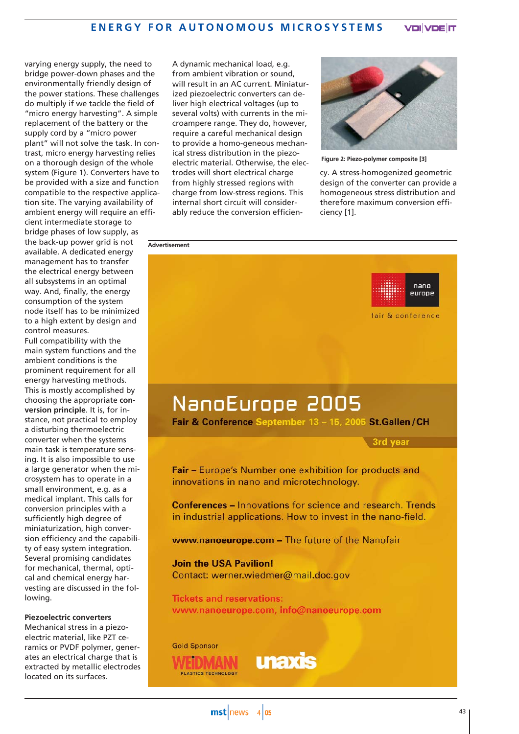varying energy supply, the need to bridge power-down phases and the environmentally friendly design of the power stations. These challenges do multiply if we tackle the field of "micro energy harvesting". A simple replacement of the battery or the supply cord by a "micro power plant" will not solve the task. In contrast, micro energy harvesting relies on a thorough design of the whole system (Figure 1). Converters have to be provided with a size and function compatible to the respective application site. The varying availability of ambient energy will require an efficient intermediate storage to bridge phases of low supply, as the back-up power grid is not available. A dedicated energy management has to transfer the electrical energy between all subsystems in an optimal way. And, finally, the energy consumption of the system node itself has to be minimized to a high extent by design and control measures. **Advertisement**

Full compatibility with the main system functions and the ambient conditions is the prominent requirement for all energy harvesting methods. This is mostly accomplished by choosing the appropriate **conversion principle**. It is, for instance, not practical to employ a disturbing thermoelectric converter when the systems main task is temperature sensing. It is also impossible to use a large generator when the microsystem has to operate in a small environment, e.g. as a medical implant. This calls for conversion principles with a sufficiently high degree of miniaturization, high conversion efficiency and the capability of easy system integration. Several promising candidates for mechanical, thermal, optical and chemical energy harvesting are discussed in the following.

### **Piezoelectric converters**

Mechanical stress in a piezoelectric material, like PZT ceramics or PVDF polymer, generates an electrical charge that is extracted by metallic electrodes located on its surfaces.

A dynamic mechanical load, e.g. from ambient vibration or sound, will result in an AC current. Miniaturized piezoelectric converters can deliver high electrical voltages (up to several volts) with currents in the microampere range. They do, however, require a careful mechanical design to provide a homo-geneous mechanical stress distribution in the piezoelectric material. Otherwise, the electrodes will short electrical charge from highly stressed regions with charge from low-stress regions. This internal short circuit will considerably reduce the conversion efficien-



**Figure 2: Piezo-polymer composite [3]**

cy. A stress-homogenized geometric design of the converter can provide a homogeneous stress distribution and therefore maximum conversion efficiency [1].

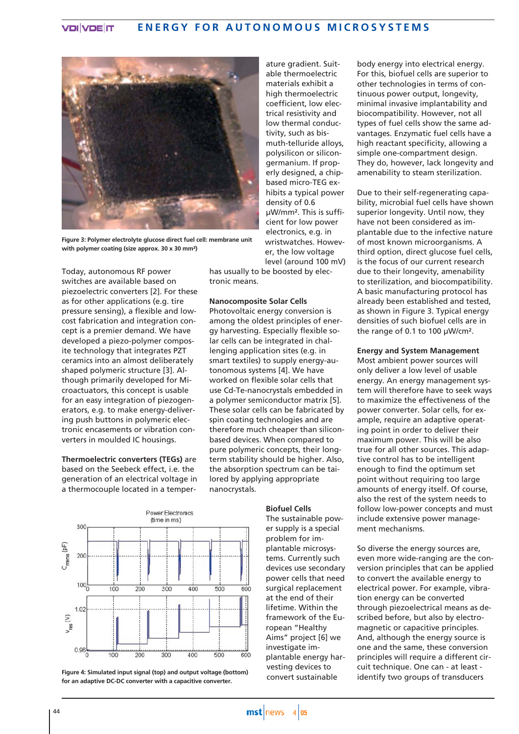#### **ENERGY FOR AUTONOMOUS MICROSYSTEMS VDIVDE IT**



**Figure 3: Polymer electrolyte glucose direct fuel cell: membrane unit with polymer coating (size approx. 30 x 30 mm²)**

Today, autonomous RF power switches are available based on piezoelectric converters [2]. For these as for other applications (e.g. tire pressure sensing), a flexible and lowcost fabrication and integration concept is a premier demand. We have developed a piezo-polymer composite technology that integrates PZT ceramics into an almost deliberately shaped polymeric structure [3]. Although primarily developed for Microactuators, this concept is usable for an easy integration of piezogenerators, e.g. to make energy-delivering push buttons in polymeric electronic encasements or vibration converters in moulded IC housings.

**Thermoelectric converters (TEGs)** are based on the Seebeck effect, i.e. the generation of an electrical voltage in a thermocouple located in a temper-

able thermoelectric materials exhibit a high thermoelectric coefficient, low electrical resistivity and low thermal conductivity, such as bismuth-telluride alloys, polysilicon or silicongermanium. If properly designed, a chipbased micro-TEG exhibits a typical power density of 0.6 µW/mm². This is sufficient for low power electronics, e.g. in wristwatches. However, the low voltage level (around 100 mV)

ature gradient. Suit-

has usually to be boosted by electronic means.

## **Nanocomposite Solar Cells**

Photovoltaic energy conversion is among the oldest principles of energy harvesting. Especially flexible solar cells can be integrated in challenging application sites (e.g. in smart textiles) to supply energy-autonomous systems [4]. We have worked on flexible solar cells that use Cd-Te-nanocrystals embedded in a polymer semiconductor matrix [5]. These solar cells can be fabricated by spin coating technologies and are therefore much cheaper than siliconbased devices. When compared to pure polymeric concepts, their longterm stability should be higher. Also, the absorption spectrum can be tailored by applying appropriate nanocrystals.



**Figure 4: Simulated input signal (top) and output voltage (bottom) for an adaptive DC-DC converter with a capacitive converter.**

## **Biofuel Cells**

The sustainable power supply is a special problem for implantable microsystems. Currently such devices use secondary power cells that need surgical replacement at the end of their lifetime. Within the framework of the European "Healthy Aims" project [6] we investigate implantable energy harvesting devices to convert sustainable

body energy into electrical energy. For this, biofuel cells are superior to other technologies in terms of continuous power output, longevity, minimal invasive implantability and biocompatibility. However, not all types of fuel cells show the same advantages. Enzymatic fuel cells have a high reactant specificity, allowing a simple one-compartment design. They do, however, lack longevity and amenability to steam sterilization.

Due to their self-regenerating capability, microbial fuel cells have shown superior longevity. Until now, they have not been considered as implantable due to the infective nature of most known microorganisms. A third option, direct glucose fuel cells, is the focus of our current research due to their longevity, amenability to sterilization, and biocompatibility. A basic manufacturing protocol has already been established and tested, as shown in Figure 3. Typical energy densities of such biofuel cells are in the range of 0.1 to 100 µW/cm².

## **Energy and System Management**

Most ambient power sources will only deliver a low level of usable energy. An energy management system will therefore have to seek ways to maximize the effectiveness of the power converter. Solar cells, for example, require an adaptive operating point in order to deliver their maximum power. This will be also true for all other sources. This adaptive control has to be intelligent enough to find the optimum set point without requiring too large amounts of energy itself. Of course, also the rest of the system needs to follow low-power concepts and must include extensive power management mechanisms.

So diverse the energy sources are, even more wide-ranging are the conversion principles that can be applied to convert the available energy to electrical power. For example, vibration energy can be converted through piezoelectrical means as described before, but also by electromagnetic or capacitive principles. And, although the energy source is one and the same, these conversion principles will require a different circuit technique. One can - at least identify two groups of transducers